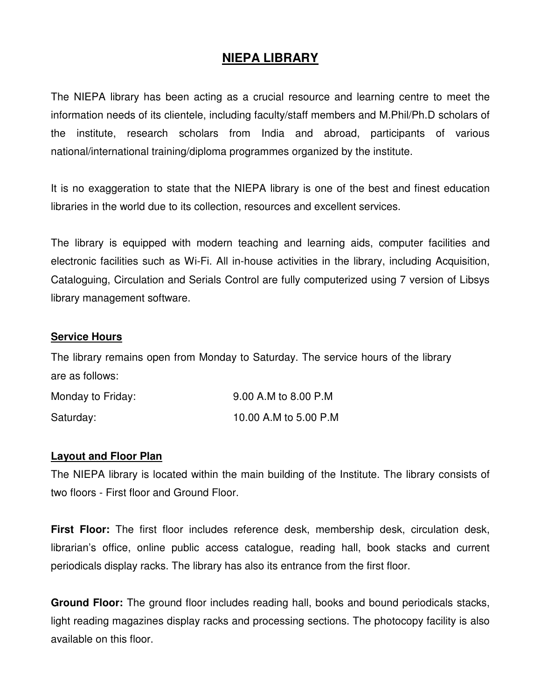# **NIEPA LIBRARY**

The NIEPA library has been acting as a crucial resource and learning centre to meet the information needs of its clientele, including faculty/staff members and M.Phil/Ph.D scholars of the institute, research scholars from India and abroad, participants of various national/international training/diploma programmes organized by the institute.

It is no exaggeration to state that the NIEPA library is one of the best and finest education libraries in the world due to its collection, resources and excellent services.

The library is equipped with modern teaching and learning aids, computer facilities and electronic facilities such as Wi-Fi. All in-house activities in the library, including Acquisition, Cataloguing, Circulation and Serials Control are fully computerized using 7 version of Libsys library management software.

#### **Service Hours**

The library remains open from Monday to Saturday. The service hours of the library are as follows:

| Monday to Friday: | 9.00 A.M to 8.00 P.M  |  |
|-------------------|-----------------------|--|
| Saturday:         | 10.00 A.M to 5.00 P.M |  |

#### **Layout and Floor Plan**

The NIEPA library is located within the main building of the Institute. The library consists of two floors - First floor and Ground Floor.

**First Floor:** The first floor includes reference desk, membership desk, circulation desk, librarian's office, online public access catalogue, reading hall, book stacks and current periodicals display racks. The library has also its entrance from the first floor.

**Ground Floor:** The ground floor includes reading hall, books and bound periodicals stacks, light reading magazines display racks and processing sections. The photocopy facility is also available on this floor.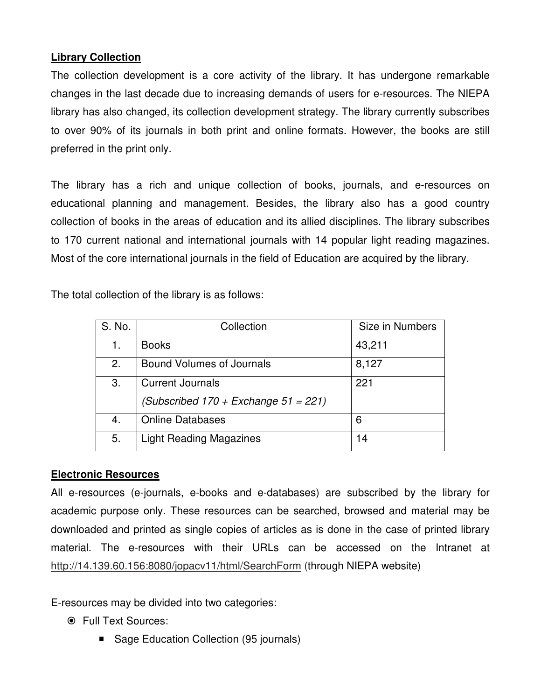### **Library Collection**

The collection development is a core activity of the library. It has undergone remarkable changes in the last decade due to increasing demands of users for e-resources. The NIEPA library has also changed, its collection development strategy. The library currently subscribes to over 90% of its journals in both print and online formats. However, the books are still preferred in the print only.

The library has a rich and unique collection of books, journals, and e-resources on educational planning and management. Besides, the library also has a good country collection of books in the areas of education and its allied disciplines. The library subscribes to 170 current national and international journals with 14 popular light reading magazines. Most of the core international journals in the field of Education are acquired by the library.

The total collection of the library is as follows:

| S. No. | Collection                                | Size in Numbers |
|--------|-------------------------------------------|-----------------|
| 1.     | <b>Books</b>                              | 43,211          |
| 2.     | <b>Bound Volumes of Journals</b>          | 8,127           |
| 3.     | <b>Current Journals</b>                   | 221             |
|        | (Subscribed $170 +$ Exchange $51 = 221$ ) |                 |
| 4.     | <b>Online Databases</b>                   | 6               |
| 5.     | <b>Light Reading Magazines</b>            | 14              |

### **Electronic Resources**

All e-resources (e-journals, e-books and e-databases) are subscribed by the library for academic purpose only. These resources can be searched, browsed and material may be downloaded and printed as single copies of articles as is done in the case of printed library material. The e-resources with their URLs can be accessed on the Intranet at http://14.139.60.156:8080/jopacv11/html/SearchForm (through NIEPA website)

E-resources may be divided into two categories:

Full Text Sources:

**B** Sage Education Collection (95 journals)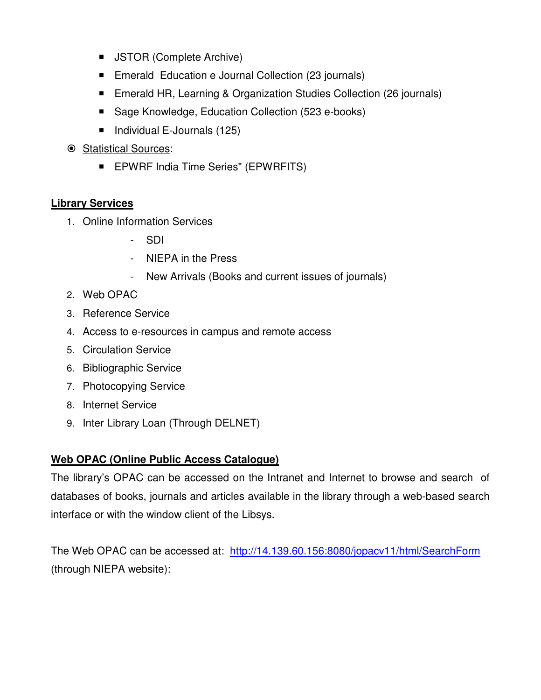- **JSTOR (Complete Archive)**
- **Emerald Education e Journal Collection (23 journals)**
- **Emerald HR, Learning & Organization Studies Collection (26 journals)**
- Sage Knowledge, Education Collection (523 e-books)
- Individual E-Journals (125)
- Statistical Sources:
	- **EPWRF India Time Series" (EPWRFITS)**

# **Library Services**

- 1. Online Information Services
	- SDI
	- NIEPA in the Press
	- New Arrivals (Books and current issues of journals)
- 2. Web OPAC
- 3. Reference Service
- 4. Access to e-resources in campus and remote access
- 5. Circulation Service
- 6. Bibliographic Service
- 7. Photocopying Service
- 8. Internet Service
- 9. Inter Library Loan (Through DELNET)

# **Web OPAC (Online Public Access Catalogue)**

The library's OPAC can be accessed on the Intranet and Internet to browse and search of databases of books, journals and articles available in the library through a web-based search interface or with the window client of the Libsys.

The Web OPAC can be accessed at: http://14.139.60.156:8080/jopacv11/html/SearchForm (through NIEPA website):